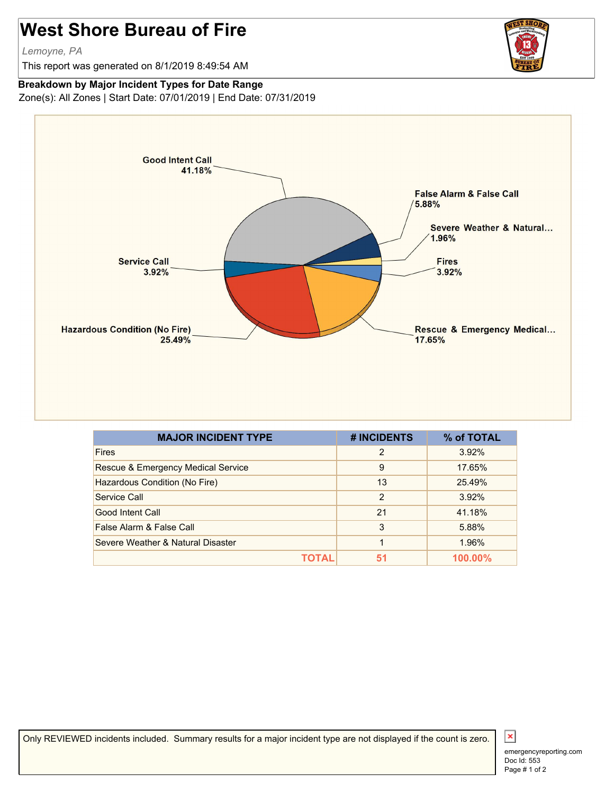## **West Shore Bureau of Fire**

*Lemoyne, PA*

This report was generated on 8/1/2019 8:49:54 AM



## **Breakdown by Major Incident Types for Date Range**

Zone(s): All Zones | Start Date: 07/01/2019 | End Date: 07/31/2019



| <b>MAJOR INCIDENT TYPE</b>         | # INCIDENTS | % of TOTAL     |
|------------------------------------|-------------|----------------|
| <b>Fires</b>                       | 2           | 3.92%          |
| Rescue & Emergency Medical Service | 9           | 17.65%         |
| Hazardous Condition (No Fire)      | 13          | 25.49%         |
| Service Call                       | 2           | 3.92%          |
| Good Intent Call                   | 21          | 41.18%         |
| False Alarm & False Call           | 3           | 5.88%          |
| Severe Weather & Natural Disaster  | 1           | 1.96%          |
|                                    | 51          | <b>100.00%</b> |

Only REVIEWED incidents included. Summary results for a major incident type are not displayed if the count is zero.